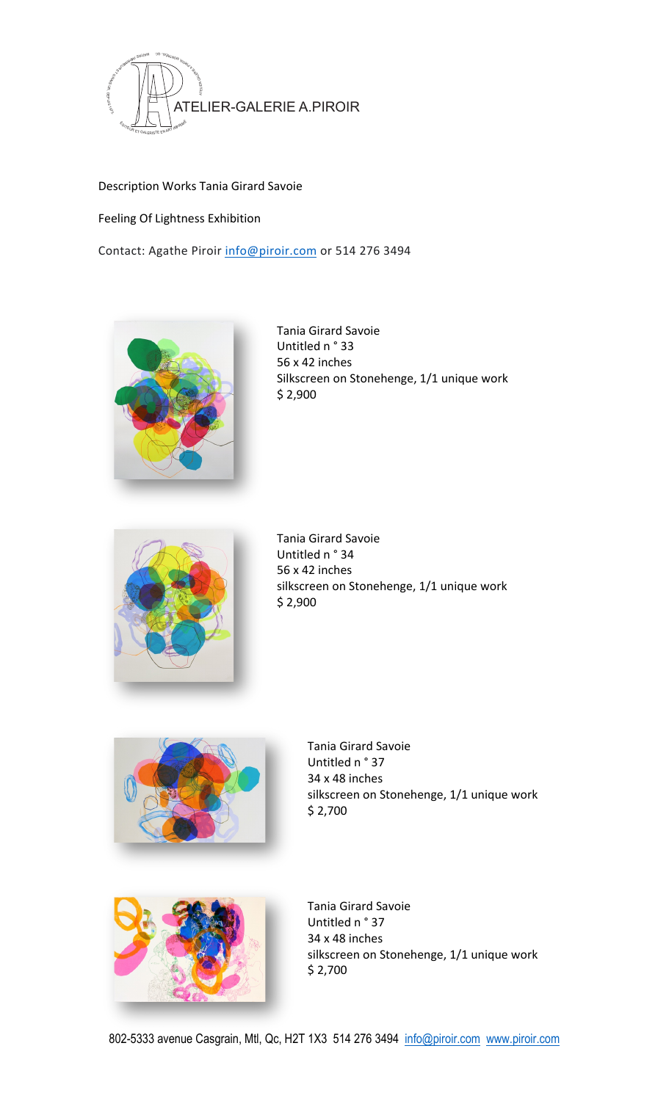

Description Works Tania Girard Savoie

Feeling Of Lightness Exhibition

Contact: Agathe Piroir info@piroir.com or 514 276 3494



Tania Girard Savoie Untitled n ° 33 56 x 42 inches Silkscreen on Stonehenge, 1/1 unique work \$ 2,900 



Tania Girard Savoie Untitled n ° 34 56 x 42 inches silkscreen on Stonehenge, 1/1 unique work  $$2,900$ 



Tania Girard Savoie Untitled n ° 37 34 x 48 inches silkscreen on Stonehenge, 1/1 unique work  $$2,700$ 



Tania Girard Savoie Untitled n ° 37 34 x 48 inches silkscreen on Stonehenge, 1/1 unique work  $$2,700$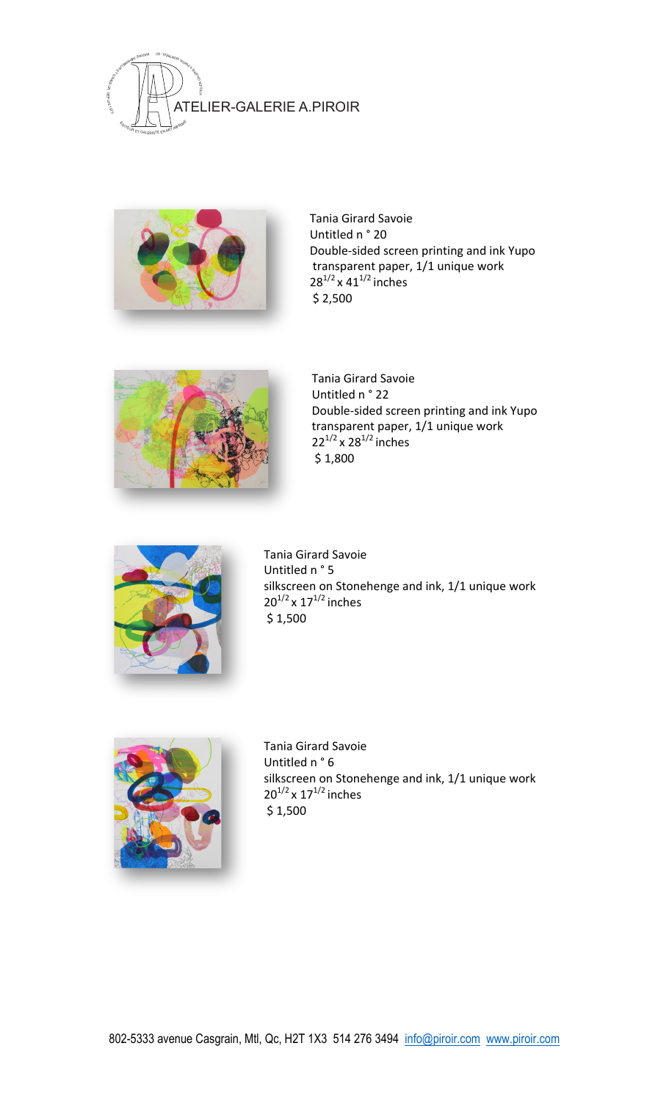



Tania Girard Savoie Untitled n ° 20 Double-sided screen printing and ink Yupo transparent paper, 1/1 unique work  $28^{1/2} \times 41^{1/2}$  inches  $$2,500$ 



Tania Girard Savoie Untitled n ° 22 Double-sided screen printing and ink Yupo transparent paper, 1/1 unique work  $22^{1/2}$  x  $28^{1/2}$  inches  $$1,800$ 



Tania Girard Savoie Untitled n ° 5 silkscreen on Stonehenge and ink, 1/1 unique work  $20^{1/2}$  x  $17^{1/2}$  inches  $$1,500$ 



Tania Girard Savoie Untitled n ° 6 silkscreen on Stonehenge and ink, 1/1 unique work  $20^{1/2}$  x  $17^{1/2}$  inches  $$1,500$